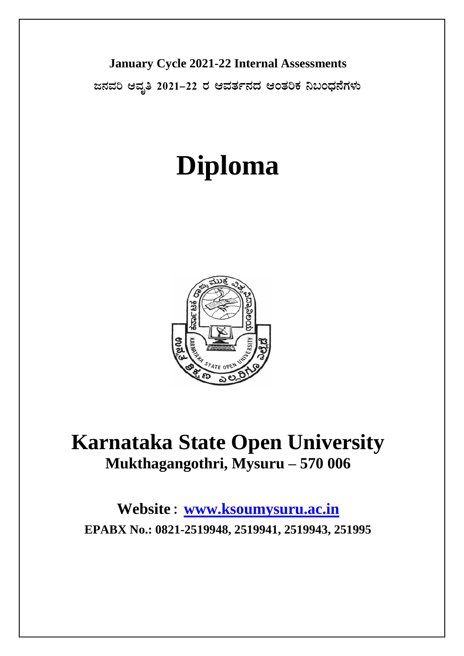**January Cycle 2021-22 Internal Assessments**

 $\alpha$ ಸವರಿ ಆವೃತಿ 2021−22 ರ ಆವರ್ತನದ ಆಂತರಿಕ ನಿಬಂಧನೆಗಳು

# **Diploma**



# **Karnataka State Open University Mukthagangothri, Mysuru – 570 006**

**Website : [www.ksoumysuru.ac.in](http://www.ksoumysuru.ac.in/) EPABX No.: 0821-2519948, 2519941, 2519943, 251995**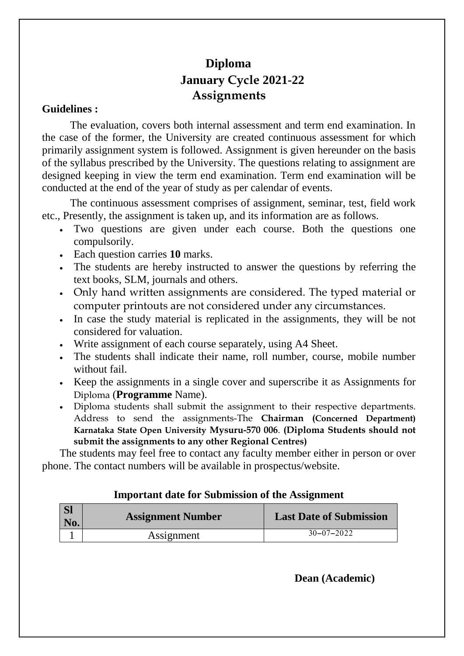# **Diploma January Cycle 2021-22 Assignments**

# **Guidelines :**

The evaluation, covers both internal assessment and term end examination. In the case of the former, the University are created continuous assessment for which primarily assignment system is followed. Assignment is given hereunder on the basis of the syllabus prescribed by the University. The questions relating to assignment are designed keeping in view the term end examination. Term end examination will be conducted at the end of the year of study as per calendar of events.

The continuous assessment comprises of assignment, seminar, test, field work etc., Presently, the assignment is taken up, and its information are as follows.

- Two questions are given under each course. Both the questions one compulsorily.
- Each question carries **10** marks.
- The students are hereby instructed to answer the questions by referring the text books, SLM, journals and others.
- Only hand written assignments are considered. The typed material or computer printouts are not considered under any circumstances.
- In case the study material is replicated in the assignments, they will be not considered for valuation.
- Write assignment of each course separately, using A4 Sheet.
- The students shall indicate their name, roll number, course, mobile number without fail.
- Exercise it as Assignments in a single cover and superscribe it as Assignments for Diploma (**Programme** Name).
- Diploma students shall submit the assignment to their respective departments. Address to send the assignments-The **Chairman (Concerned Department) Karnataka State Open University Mysuru-570 006**. **(Diploma Students should not submit the assignments to any other Regional Centres)**

The students may feel free to contact any faculty member either in person or over phone. The contact numbers will be available in prospectus/website.

## **Important date for Submission of the Assignment**

| <b>SI</b><br>No. | <b>Assignment Number</b> | <b>Last Date of Submission</b> |
|------------------|--------------------------|--------------------------------|
|                  | Assignment               | $30 - 07 - 2022$               |

**Dean (Academic)**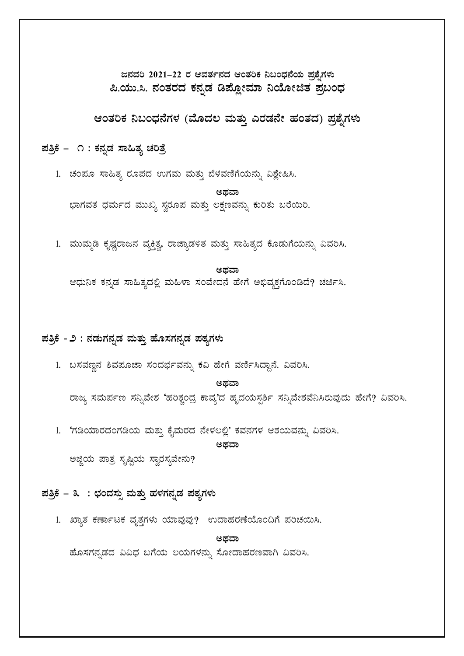ಜನವರಿ 2021–22 ರ ಆವರ್ತನದ ಆಂತರಿಕ ನಿಬಂಧನೆಯ ಪ್ರಶ್ನೆಗಳು ಪಿ.ಯು.ಸಿ. ನಂತರದ ಕನ್ನಡ ಡಿಪ್ಲೋಮಾ ನಿಯೋಜಿತ ಪ್ರಬಂಧ

ಆಂತರಿಕ ನಿಬಂಧನೆಗಳ (ಮೊದಲ ಮತ್ತು ಎರಡನೇ ಹಂತದ) ಪ್ರಶೈಗಳು

ಪತ್ರಿಕೆ – ೧ : ಕನ್ನಡ ಸಾಹಿತ್ಯ ಚರಿತ್ರೆ

1. ಚಂಪೂ ಸಾಹಿತ್ಯ ರೂಪದ ಉಗಮ ಮತ್ತು ಬೆಳವಣಿಗೆಯನ್ನು ವಿಶ್ಲೇಷಿಸಿ.

ಅಥವಾ ಭಾಗವತ ಧರ್ಮದ ಮುಖ್ಯ ಸ್ವರೂಪ ಮತ್ತು ಲಕ್ಷಣವನ್ನು ಕುರಿತು ಬರೆಯಿರಿ.

1. ಮುಮ್ಮಡಿ ಕೃಷ್ಣರಾಜನ ವ್ಯಕ್ತಿತ್ವ, ರಾಜ್ಯಾಡಳಿತ ಮತ್ತು ಸಾಹಿತ್ಯದ ಕೊಡುಗೆಯನ್ನು ವಿವರಿಸಿ.

#### ಅಥವಾ

ಆಧುನಿಕ ಕನ್ನಡ ಸಾಹಿತ್ಯದಲ್ಲಿ ಮಹಿಳಾ ಸಂವೇದನೆ ಹೇಗೆ ಅಭಿವ್ಯಕ್ತಗೊಂಡಿದೆ? ಚರ್ಚಿಸಿ.

#### ಪತ್ರಿಕೆ - ೨ : ನಡುಗನ್ನಡ ಮತ್ತು ಹೊಸಗನ್ನಡ ಪಠ್ಯಗಳು

1. ಬಸವಣ್ಣನ ಶಿವಪೂಜಾ ಸಂದರ್ಭವನ್ನು ಕವಿ ಹೇಗೆ ವರ್ಣಿಸಿದ್ದಾನೆ. ವಿವರಿಸಿ.

#### ಅದವಾ

ರಾಜ್ಯ ಸಮರ್ಪಣ ಸನ್ನಿವೇಶ 'ಹರಿಶ್ಚಂದ್ರ ಕಾವ್ಯ'ದ ಹೃದಯಸ್ಪರ್ಶಿ ಸನ್ನಿವೇಶವೆನಿಸಿರುವುದು ಹೇಗೆ? ವಿವರಿಸಿ.

1. 'ಗಡಿಯಾರದಂಗಡಿಯ ಮತ್ತು ಕೈಮರದ ನೇಳಲಲ್ಲಿ' ಕವನಗಳ ಆಶಯವನ್ನು ವಿವರಿಸಿ.

ಅಥವಾ

ಅಜ್ಜಿಯ ಪಾತ್ರ ಸೃಷ್ಟಿಯ ಸ್ವಾರಸ್ಯವೇನು?

# ಪತ್ರಿಕೆ – ೩: ಛಂದಸ್ಸು ಮತ್ತು ಹಳಗನ್ನಡ ಪಠ್ಯಗಳು

1. ಖ್ಯಾತ ಕರ್ಣಾಟಕ ವೃತ್ತಗಳು ಯಾವುವು? ಉದಾಹರಣೆಯೊಂದಿಗೆ ಪರಿಚಯಿಸಿ.

#### ಅದವಾ

ಹೊಸಗನ್ನಡದ ವಿವಿಧ ಬಗೆಯ ಲಯಗಳನ್ನು ಸೋದಾಹರಣವಾಗಿ ವಿವರಿಸಿ.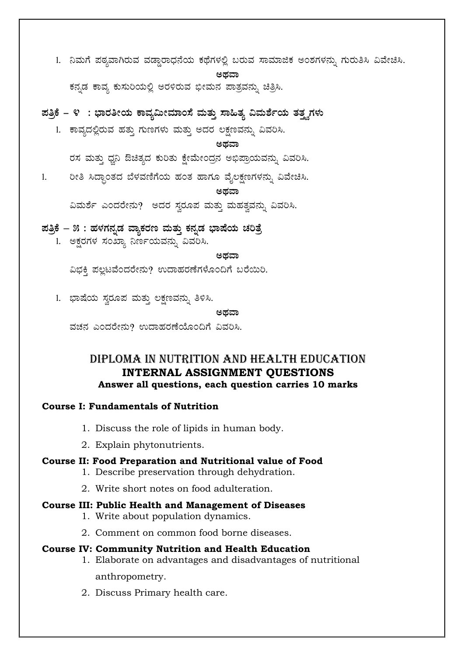1. ನಿಮಗೆ ಪಠ್ಯವಾಗಿರುವ ವಡ್ಡಾರಾಧನೆಯ ಕಥೆಗಳಲ್ಲಿ ಬರುವ ಸಾಮಾಜಿಕ ಅಂಶಗಳನ್ನು ಗುರುತಿಸಿ ವಿವೇಚಿಸಿ.

ಅಥವಾ

ಕನ್ನಡ ಕಾವ್ಯ ಕುಸುರಿಯಲ್ಲಿ ಅರಳಿರುವ ಭೀಮನ ಪಾತ್ರವನ್ನು ಚಿತ್ರಿಸಿ.

ಪತ್ರಿಕೆ – ೪ :ಭಾರತೀಯ ಕಾವ್ಯಮೀಮಾಂಸೆ ಮತ್ತು ಸಾಹಿತ್ಯ ವಿಮರ್ಶೆಯ ತತ್ನಗಳು

1. ಕಾವ್ಯದಲ್ಲಿರುವ ಹತ್ತು ಗುಣಗಳು ಮತ್ತು ಅದರ ಲಕ್ಷಣವನ್ನು ವಿವರಿಸಿ.

ಅದವಾ

ರಸ ಮತ್ತು ಧ್ವನಿ ಔಚಿತ್ಯದ ಕುರಿತು ಕ್ಷೇಮೇಂದ್ರನ ಅಭಿಪ್ರಾಯವನ್ನು ವಿವರಿಸಿ.

ರೀತಿ ಸಿದ್ಧಾಂತದ ಬೆಳವಣಿಗೆಯ ಹಂತ ಹಾಗೂ ವೈಲಕ್ಷಣಗಳನ್ನು ವಿವೇಚಿಸಿ.  $1.$ 

ಅದವಾ

ವಿಮರ್ಶೆ ಎಂದರೇನು? ಅದರ ಸ್ವರೂಪ ಮತ್ತು ಮಹತ್ವವನ್ನು ವಿವರಿಸಿ.

ಪತ್ರಿಕೆ – ೫ : ಹಳಗನೃಡ ವ್ಯಾಕರಣ ಮತ್ತು ಕನ್ನಡ ಭಾಷೆಯ ಚರಿತ್ರೆ

1. ಅಕ್ಷರಗಳ ಸಂಖ್ಯಾ ನಿರ್ಣಯವನ್ನು ವಿವರಿಸಿ.

ಅಥವಾ

ವಿಭಕಿ ಪಲ್ಲಟವೆಂದರೇನು? ಉದಾಹರಣೆಗಳೊಂದಿಗೆ ಬರೆಯಿರಿ.

1. ಭಾಷೆಯ ಸ್ವರೂಪ ಮತ್ತು ಲಕ್ಷಣವನ್ನು ತಿಳಿಸಿ.

#### ಅಡವಾ

ವಚನ ಎಂದರೇನು? ಉದಾಹರಣೆಯೊಂದಿಗೆ ವಿವರಿಸಿ.

# DIPLOMA IN NUTRITION AND HEALTH EDUCATION **INTERNAL ASSIGNMENT QUESTIONS** Answer all questions, each question carries 10 marks

#### **Course I: Fundamentals of Nutrition**

- 1. Discuss the role of lipids in human body.
- 2. Explain phytonutrients.

## Course II: Food Preparation and Nutritional value of Food

- 1. Describe preservation through dehydration.
- 2. Write short notes on food adulteration.

#### **Course III: Public Health and Management of Diseases**

- 1. Write about population dynamics.
- 2. Comment on common food borne diseases.

#### **Course IV: Community Nutrition and Health Education**

- 1. Elaborate on advantages and disadvantages of nutritional anthropometry.
- 2. Discuss Primary health care.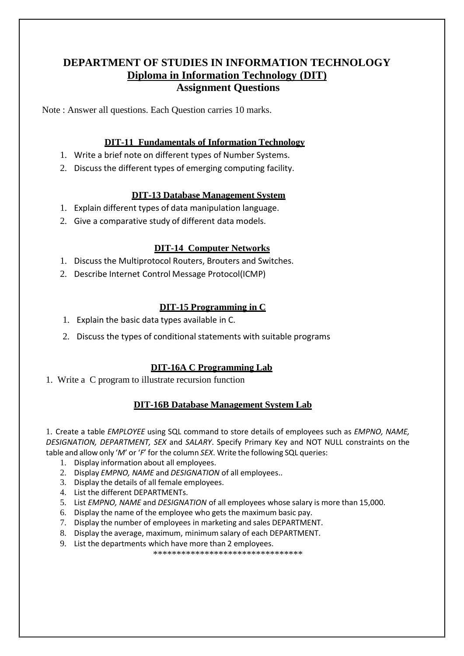# **DEPARTMENT OF STUDIES IN INFORMATION TECHNOLOGY Diploma in Information Technology (DIT) Assignment Questions**

Note : Answer all questions. Each Question carries 10 marks.

#### **DIT-11 Fundamentals of Information Technology**

- 1. Write a brief note on different types of Number Systems.
- 2. Discuss the different types of emerging computing facility.

#### **DIT-13 Database Management System**

- 1. Explain different types of data manipulation language.
- 2. Give a comparative study of different data models.

#### **DIT-14 Computer Networks**

- 1. Discuss the Multiprotocol Routers, Brouters and Switches.
- 2. Describe Internet Control Message Protocol(ICMP)

#### **DIT-15 Programming in C**

- 1. Explain the basic data types available in C.
- 2. Discuss the types of conditional statements with suitable programs

#### **DIT-16A C Programming Lab**

1. Write a C program to illustrate recursion function

#### **DIT-16B Database Management System Lab**

1. Create a table *EMPLOYEE* using SQL command to store details of employees such as *EMPNO, NAME, DESIGNATION, DEPARTMENT, SEX* and *SALARY*. Specify Primary Key and NOT NULL constraints on the table and allow only '*M*' or '*F*' for the column *SEX*. Write the following SQL queries:

- 1. Display information about all employees.
- 2. Display *EMPNO, NAME* and *DESIGNATION* of all employees..
- 3. Display the details of all female employees.
- 4. List the different DEPARTMENTs.
- 5. List *EMPNO, NAME* and *DESIGNATION* of all employees whose salary is more than 15,000.
- 6. Display the name of the employee who gets the maximum basic pay.
- 7. Display the number of employees in marketing and sales DEPARTMENT.
- 8. Display the average, maximum, minimum salary of each DEPARTMENT.
- 9. List the departments which have more than 2 employees.

\*\*\*\*\*\*\*\*\*\*\*\*\*\*\*\*\*\*\*\*\*\*\*\*\*\*\*\*\*\*\*\*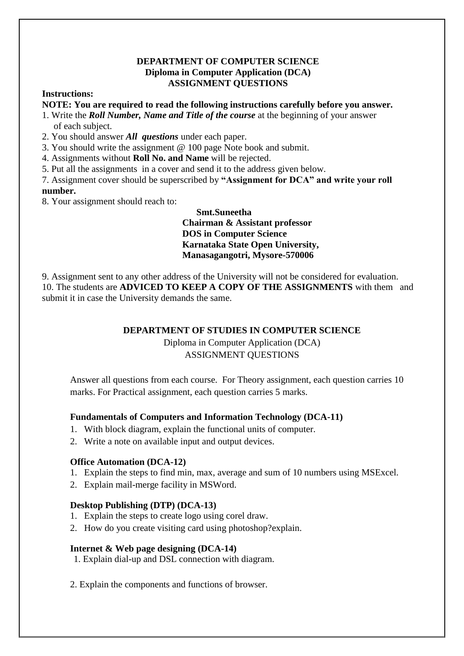#### **DEPARTMENT OF COMPUTER SCIENCE Diploma in Computer Application (DCA) ASSIGNMENT QUESTIONS**

#### **Instructions:**

**NOTE: You are required to read the following instructions carefully before you answer.**

- 1. Write the *Roll Number, Name and Title of the course* at the beginning of your answer of each subject.
- 2. You should answer *All questions* under each paper.
- 3. You should write the assignment @ 100 page Note book and submit.
- 4. Assignments without **Roll No. and Name** will be rejected.
- 5. Put all the assignments in a cover and send it to the address given below.

7. Assignment cover should be superscribed by **"Assignment for DCA" and write your roll number.**

8. Your assignment should reach to:

#### **Smt.Suneetha Chairman & Assistant professor DOS in Computer Science Karnataka State Open University, Manasagangotri, Mysore-570006**

9. Assignment sent to any other address of the University will not be considered for evaluation. 10. The students are **ADVICED TO KEEP A COPY OF THE ASSIGNMENTS** with them and submit it in case the University demands the same.

#### **DEPARTMENT OF STUDIES IN COMPUTER SCIENCE**

Diploma in Computer Application (DCA) ASSIGNMENT QUESTIONS

Answer all questions from each course. For Theory assignment, each question carries 10 marks. For Practical assignment, each question carries 5 marks.

#### **Fundamentals of Computers and Information Technology (DCA-11)**

- 1. With block diagram, explain the functional units of computer.
- 2. Write a note on available input and output devices.

#### **Office Automation (DCA-12)**

- 1. Explain the steps to find min, max, average and sum of 10 numbers using MSExcel.
- 2. Explain mail-merge facility in MSWord.

#### **Desktop Publishing (DTP) (DCA-13)**

- 1. Explain the steps to create logo using corel draw.
- 2. How do you create visiting card using photoshop?explain.

#### **Internet & Web page designing (DCA-14)**

1. Explain dial-up and DSL connection with diagram.

2. Explain the components and functions of browser.